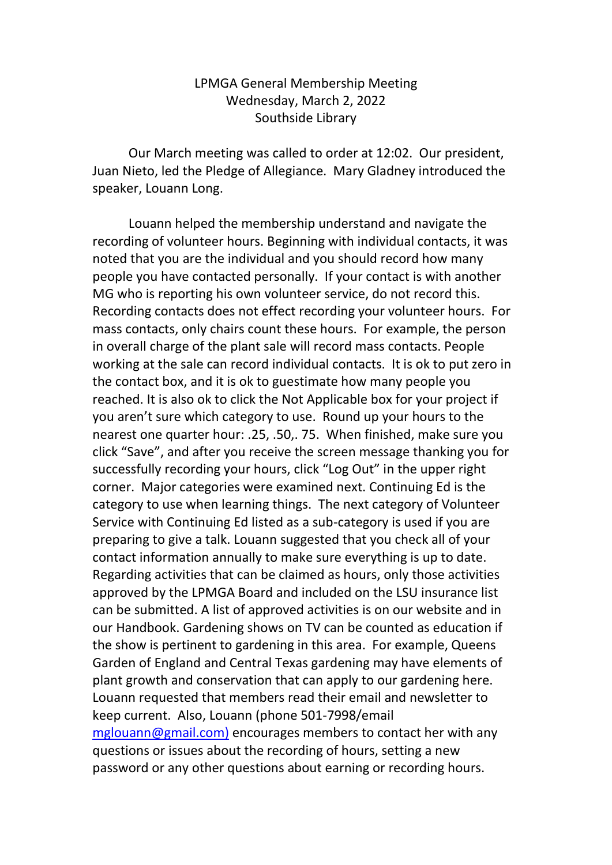## LPMGA General Membership Meeting Wednesday, March 2, 2022 Southside Library

Our March meeting was called to order at 12:02. Our president, Juan Nieto, led the Pledge of Allegiance. Mary Gladney introduced the speaker, Louann Long.

Louann helped the membership understand and navigate the recording of volunteer hours. Beginning with individual contacts, it was noted that you are the individual and you should record how many people you have contacted personally. If your contact is with another MG who is reporting his own volunteer service, do not record this. Recording contacts does not effect recording your volunteer hours. For mass contacts, only chairs count these hours. For example, the person in overall charge of the plant sale will record mass contacts. People working at the sale can record individual contacts. It is ok to put zero in the contact box, and it is ok to guestimate how many people you reached. It is also ok to click the Not Applicable box for your project if you aren't sure which category to use. Round up your hours to the nearest one quarter hour: .25, .50,. 75. When finished, make sure you click "Save", and after you receive the screen message thanking you for successfully recording your hours, click "Log Out" in the upper right corner. Major categories were examined next. Continuing Ed is the category to use when learning things. The next category of Volunteer Service with Continuing Ed listed as a sub-category is used if you are preparing to give a talk. Louann suggested that you check all of your contact information annually to make sure everything is up to date. Regarding activities that can be claimed as hours, only those activities approved by the LPMGA Board and included on the LSU insurance list can be submitted. A list of approved activities is on our website and in our Handbook. Gardening shows on TV can be counted as education if the show is pertinent to gardening in this area. For example, Queens Garden of England and Central Texas gardening may have elements of plant growth and conservation that can apply to our gardening here. Louann requested that members read their email and newsletter to keep current. Also, Louann (phone 501-7998/email [mglouann@gmail.com\)](mailto:mglouann@gmail.com)) encourages members to contact her with any questions or issues about the recording of hours, setting a new password or any other questions about earning or recording hours.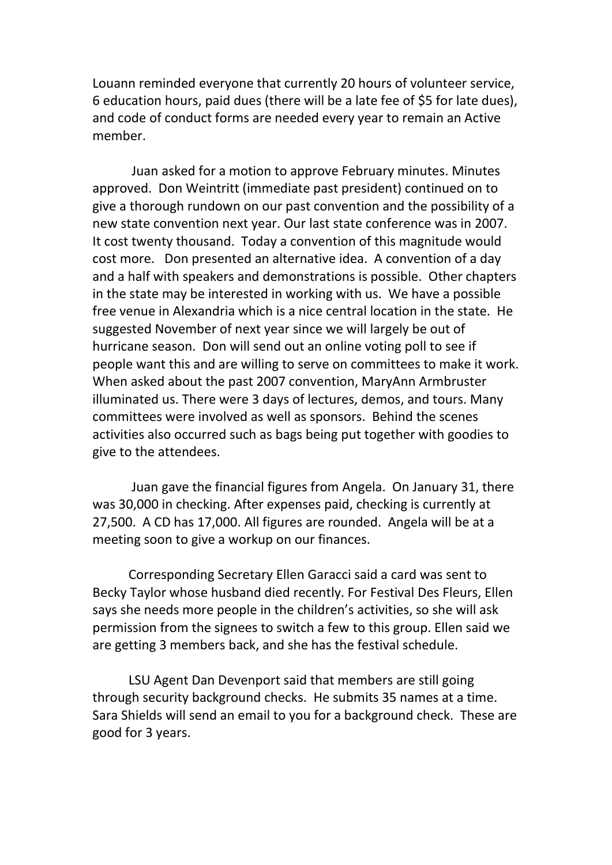Louann reminded everyone that currently 20 hours of volunteer service, 6 education hours, paid dues (there will be a late fee of \$5 for late dues), and code of conduct forms are needed every year to remain an Active member.

Juan asked for a motion to approve February minutes. Minutes approved. Don Weintritt (immediate past president) continued on to give a thorough rundown on our past convention and the possibility of a new state convention next year. Our last state conference was in 2007. It cost twenty thousand. Today a convention of this magnitude would cost more. Don presented an alternative idea. A convention of a day and a half with speakers and demonstrations is possible. Other chapters in the state may be interested in working with us. We have a possible free venue in Alexandria which is a nice central location in the state. He suggested November of next year since we will largely be out of hurricane season. Don will send out an online voting poll to see if people want this and are willing to serve on committees to make it work. When asked about the past 2007 convention, MaryAnn Armbruster illuminated us. There were 3 days of lectures, demos, and tours. Many committees were involved as well as sponsors. Behind the scenes activities also occurred such as bags being put together with goodies to give to the attendees.

Juan gave the financial figures from Angela. On January 31, there was 30,000 in checking. After expenses paid, checking is currently at 27,500. A CD has 17,000. All figures are rounded. Angela will be at a meeting soon to give a workup on our finances.

Corresponding Secretary Ellen Garacci said a card was sent to Becky Taylor whose husband died recently. For Festival Des Fleurs, Ellen says she needs more people in the children's activities, so she will ask permission from the signees to switch a few to this group. Ellen said we are getting 3 members back, and she has the festival schedule.

LSU Agent Dan Devenport said that members are still going through security background checks. He submits 35 names at a time. Sara Shields will send an email to you for a background check. These are good for 3 years.